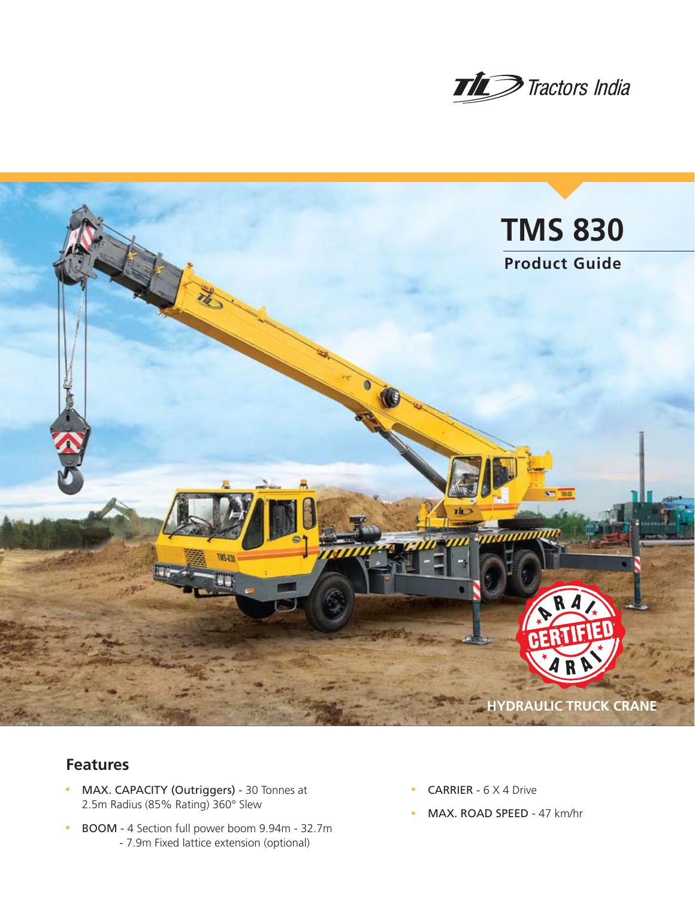



# **Features**

- MAX. CAPACITY (Outriggers) 30 Tonnes at 2.5m Radius (85% Rating) 360° Slew
- BOOM 4 Section full power boom 9.94m 32.7m - 7.9m Fixed lattice extension (optional)
- **CARRIER**  $6 \times 4$  Drive
- MAX. ROAD SPEED 47 km/hr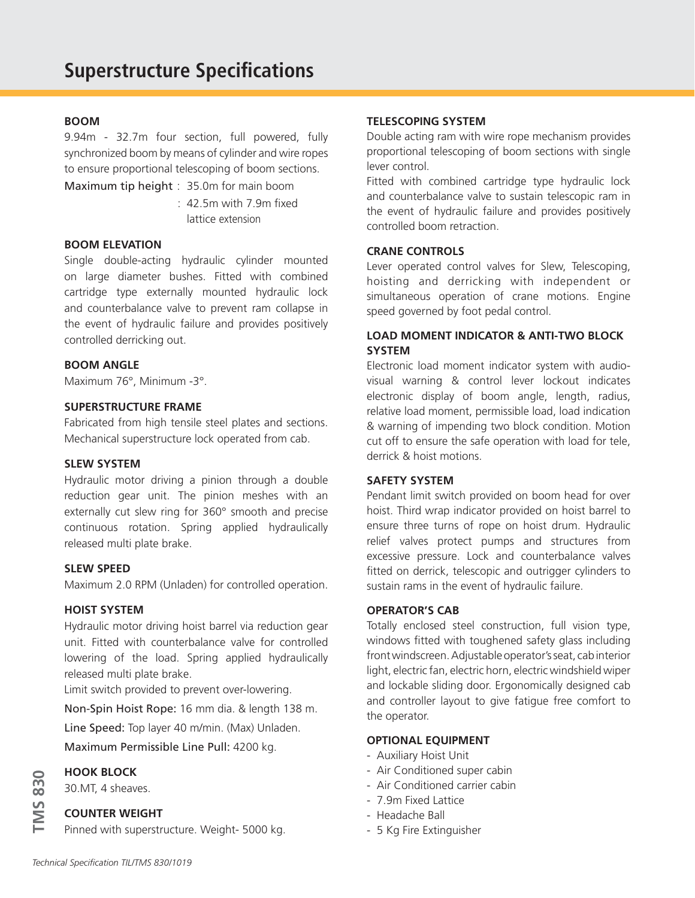# **BOOM**

9.94m - 32.7m four section, full powered, fully synchronized boom by means of cylinder and wire ropes to ensure proportional telescoping of boom sections.

Maximum tip height : 35.0m for main boom

 : 42.5m with 7.9m fixed lattice extension

# **BOOM ELEVATION**

Single double-acting hydraulic cylinder mounted on large diameter bushes. Fitted with combined cartridge type externally mounted hydraulic lock and counterbalance valve to prevent ram collapse in the event of hydraulic failure and provides positively controlled derricking out.

# **BOOM ANGLE**

Maximum 76°, Minimum -3°.

# **SUPERSTRUCTURE FRAME**

Fabricated from high tensile steel plates and sections. Mechanical superstructure lock operated from cab.

### **SLEW SYSTEM**

Hydraulic motor driving a pinion through a double reduction gear unit. The pinion meshes with an externally cut slew ring for 360° smooth and precise continuous rotation. Spring applied hydraulically released multi plate brake.

#### **SLEW SPEED**

Maximum 2.0 RPM (Unladen) for controlled operation.

## **HOIST SYSTEM**

Hydraulic motor driving hoist barrel via reduction gear unit. Fitted with counterbalance valve for controlled lowering of the load. Spring applied hydraulically released multi plate brake.

Limit switch provided to prevent over-lowering.

Non-Spin Hoist Rope: 16 mm dia. & length 138 m.

Line Speed: Top layer 40 m/min. (Max) Unladen.

Maximum Permissible Line Pull: 4200 kg.

## **HOOK BLOCK**

30.MT, 4 sheaves.

## **COUNTER WEIGHT**

Pinned with superstructure. Weight- 5000 kg.

## **TELESCOPING SYSTEM**

Double acting ram with wire rope mechanism provides proportional telescoping of boom sections with single lever control.

Fitted with combined cartridge type hydraulic lock and counterbalance valve to sustain telescopic ram in the event of hydraulic failure and provides positively controlled boom retraction.

# **CRANE CONTROLS**

Lever operated control valves for Slew, Telescoping, hoisting and derricking with independent or simultaneous operation of crane motions. Engine speed governed by foot pedal control.

# **LOAD MOMENT INDICATOR & ANTI-TWO BLOCK SYSTEM**

Electronic load moment indicator system with audiovisual warning & control lever lockout indicates electronic display of boom angle, length, radius, relative load moment, permissible load, load indication & warning of impending two block condition. Motion cut off to ensure the safe operation with load for tele, derrick & hoist motions.

# **SAFETY SYSTEM**

Pendant limit switch provided on boom head for over hoist. Third wrap indicator provided on hoist barrel to ensure three turns of rope on hoist drum. Hydraulic relief valves protect pumps and structures from excessive pressure. Lock and counterbalance valves fitted on derrick, telescopic and outrigger cylinders to sustain rams in the event of hydraulic failure.

# **OPERATOR'S CAB**

Totally enclosed steel construction, full vision type, windows fitted with toughened safety glass including front windscreen. Adjustable operator's seat, cab interior light, electric fan, electric horn, electric windshield wiper and lockable sliding door. Ergonomically designed cab and controller layout to give fatigue free comfort to the operator.

## **OPTIONAL EQUIPMENT**

- Auxiliary Hoist Unit
- Air Conditioned super cabin
- Air Conditioned carrier cabin
- 7.9m Fixed Lattice
- Headache Ball
- 5 Kg Fire Extinguisher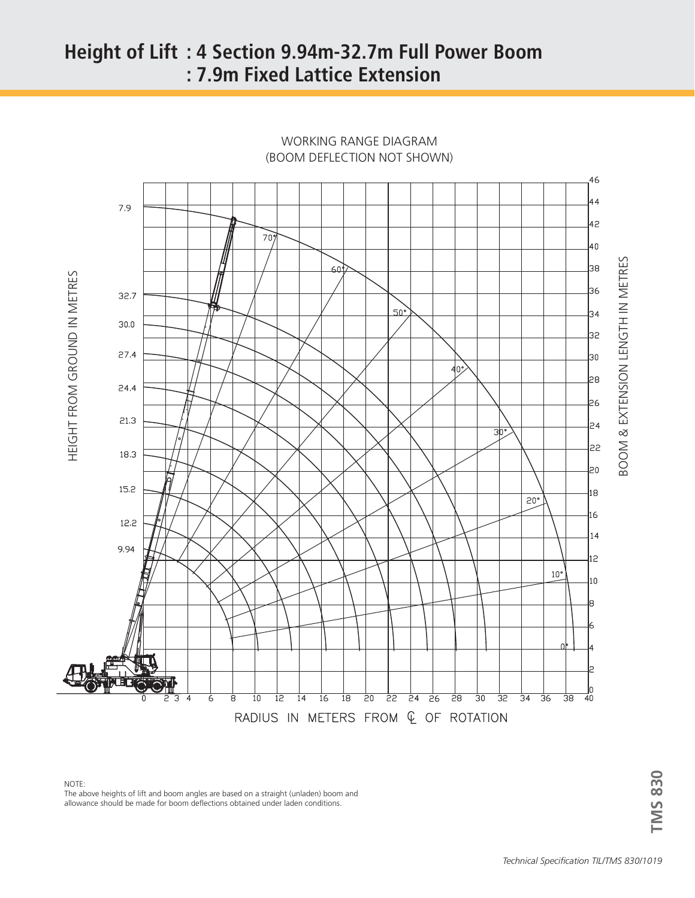# **Height of Lift : 4 Section 9.94m-32.7m Full Power Boom : 7.9m Fixed Lattice Extension**



WORKING RANGE DIAGRAM (BOOM DEFLECTION NOT SHOWN)

NOTE:

The above heights of lift and boom angles are based on a straight (unladen) boom and allowance should be made for boom deflections obtained under laden conditions.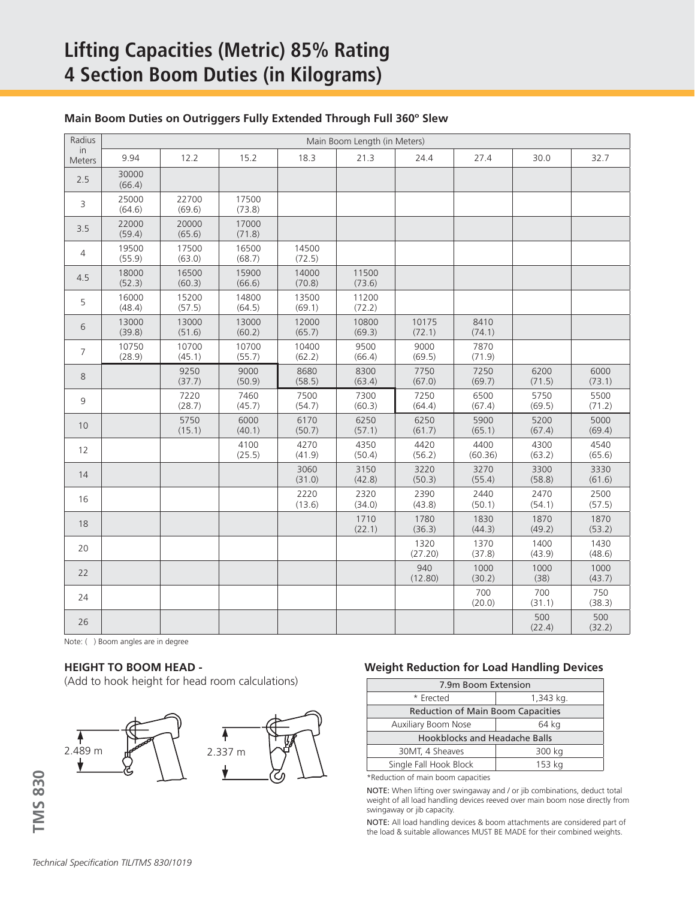# **Lifting Capacities (Metric) 85% Rating 4 Section Boom Duties (in Kilograms)**

| Radius         | Main Boom Length (in Meters) |                 |                 |                 |                 |                 |                 |                |                |
|----------------|------------------------------|-----------------|-----------------|-----------------|-----------------|-----------------|-----------------|----------------|----------------|
| in<br>Meters   | 9.94                         | 12.2            | 15.2            | 18.3            | 21.3            | 24.4            | 27.4            | 30.0           | 32.7           |
| 2.5            | 30000<br>(66.4)              |                 |                 |                 |                 |                 |                 |                |                |
| 3              | 25000<br>(64.6)              | 22700<br>(69.6) | 17500<br>(73.8) |                 |                 |                 |                 |                |                |
| 3.5            | 22000<br>(59.4)              | 20000<br>(65.6) | 17000<br>(71.8) |                 |                 |                 |                 |                |                |
| 4              | 19500<br>(55.9)              | 17500<br>(63.0) | 16500<br>(68.7) | 14500<br>(72.5) |                 |                 |                 |                |                |
| 4.5            | 18000<br>(52.3)              | 16500<br>(60.3) | 15900<br>(66.6) | 14000<br>(70.8) | 11500<br>(73.6) |                 |                 |                |                |
| 5              | 16000<br>(48.4)              | 15200<br>(57.5) | 14800<br>(64.5) | 13500<br>(69.1) | 11200<br>(72.2) |                 |                 |                |                |
| 6              | 13000<br>(39.8)              | 13000<br>(51.6) | 13000<br>(60.2) | 12000<br>(65.7) | 10800<br>(69.3) | 10175<br>(72.1) | 8410<br>(74.1)  |                |                |
| $\overline{7}$ | 10750<br>(28.9)              | 10700<br>(45.1) | 10700<br>(55.7) | 10400<br>(62.2) | 9500<br>(66.4)  | 9000<br>(69.5)  | 7870<br>(71.9)  |                |                |
| 8              |                              | 9250<br>(37.7)  | 9000<br>(50.9)  | 8680<br>(58.5)  | 8300<br>(63.4)  | 7750<br>(67.0)  | 7250<br>(69.7)  | 6200<br>(71.5) | 6000<br>(73.1) |
| 9              |                              | 7220<br>(28.7)  | 7460<br>(45.7)  | 7500<br>(54.7)  | 7300<br>(60.3)  | 7250<br>(64.4)  | 6500<br>(67.4)  | 5750<br>(69.5) | 5500<br>(71.2) |
| 10             |                              | 5750<br>(15.1)  | 6000<br>(40.1)  | 6170<br>(50.7)  | 6250<br>(57.1)  | 6250<br>(61.7)  | 5900<br>(65.1)  | 5200<br>(67.4) | 5000<br>(69.4) |
| 12             |                              |                 | 4100<br>(25.5)  | 4270<br>(41.9)  | 4350<br>(50.4)  | 4420<br>(56.2)  | 4400<br>(60.36) | 4300<br>(63.2) | 4540<br>(65.6) |
| 14             |                              |                 |                 | 3060<br>(31.0)  | 3150<br>(42.8)  | 3220<br>(50.3)  | 3270<br>(55.4)  | 3300<br>(58.8) | 3330<br>(61.6) |
| 16             |                              |                 |                 | 2220<br>(13.6)  | 2320<br>(34.0)  | 2390<br>(43.8)  | 2440<br>(50.1)  | 2470<br>(54.1) | 2500<br>(57.5) |
| 18             |                              |                 |                 |                 | 1710<br>(22.1)  | 1780<br>(36.3)  | 1830<br>(44.3)  | 1870<br>(49.2) | 1870<br>(53.2) |
| 20             |                              |                 |                 |                 |                 | 1320<br>(27.20) | 1370<br>(37.8)  | 1400<br>(43.9) | 1430<br>(48.6) |
| 22             |                              |                 |                 |                 |                 | 940<br>(12.80)  | 1000<br>(30.2)  | 1000<br>(38)   | 1000<br>(43.7) |
| 24             |                              |                 |                 |                 |                 |                 | 700<br>(20.0)   | 700<br>(31.1)  | 750<br>(38.3)  |
| 26             |                              |                 |                 |                 |                 |                 |                 | 500<br>(22.4)  | 500<br>(32.2)  |

# **Main Boom Duties on Outriggers Fully Extended Through Full 360º Slew**

Note: ( ) Boom angles are in degree

# **HEIGHT TO BOOM HEAD -**

(Add to hook height for head room calculations)



# **Weight Reduction for Load Handling Devices**

| 7.9m Boom Extension                      |           |  |  |  |  |
|------------------------------------------|-----------|--|--|--|--|
| * Erected                                | 1,343 kg. |  |  |  |  |
| <b>Reduction of Main Boom Capacities</b> |           |  |  |  |  |
| Auxiliary Boom Nose                      | 64 kg     |  |  |  |  |
| <b>Hookblocks and Headache Balls</b>     |           |  |  |  |  |
| 30MT, 4 Sheaves                          | 300 kg    |  |  |  |  |
| Single Fall Hook Block                   | 153 kg    |  |  |  |  |

\*Reduction of main boom capacities

NOTE: When lifting over swingaway and / or jib combinations, deduct total weight of all load handling devices reeved over main boom nose directly from swingaway or jib capacity.

NOTE: All load handling devices & boom attachments are considered part of the load & suitable allowances MUST BE MADE for their combined weights.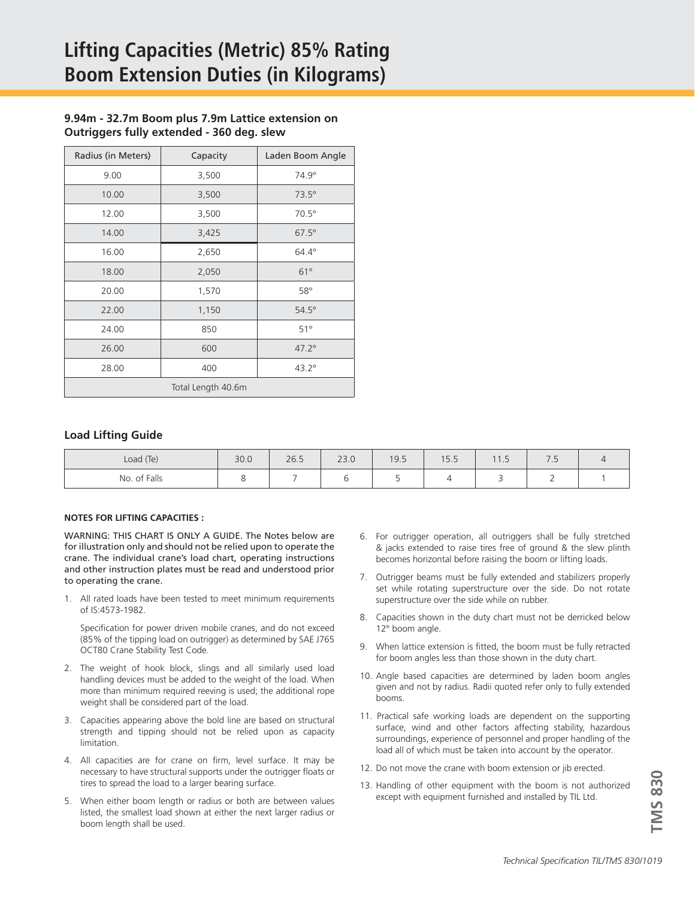# **9.94m - 32.7m Boom plus 7.9m Lattice extension on Outriggers fully extended - 360 deg. slew**

| Radius (in Meters) | Capacity | Laden Boom Angle |  |  |  |  |
|--------------------|----------|------------------|--|--|--|--|
| 9.00               | 3,500    | $74.9^\circ$     |  |  |  |  |
| 10.00              | 3,500    | $73.5^\circ$     |  |  |  |  |
| 12.00              | 3,500    | $70.5^\circ$     |  |  |  |  |
| 14.00              | 3,425    | $67.5^\circ$     |  |  |  |  |
| 16.00              | 2,650    | $64.4^\circ$     |  |  |  |  |
| 18.00              | 2,050    | $61^\circ$       |  |  |  |  |
| 20.00              | 1,570    | $58^\circ$       |  |  |  |  |
| 22.00              | 1,150    | $54.5^\circ$     |  |  |  |  |
| 24.00              | 850      | $51^\circ$       |  |  |  |  |
| 26.00              | 600      | $47.2^{\circ}$   |  |  |  |  |
| 28.00              | 400      | $43.2^\circ$     |  |  |  |  |
| Total Length 40.6m |          |                  |  |  |  |  |

### **Load Lifting Guide**

| Load (Te)    | 30.0 | 26.5 | 220<br>ZJ.U | 19.5 | $1 - 7$<br><b>. ب</b> ا | $\sqrt{4}$<br>.          | $\overline{\phantom{0}}$<br>$\overline{\phantom{a}}$ |  |
|--------------|------|------|-------------|------|-------------------------|--------------------------|------------------------------------------------------|--|
| No. of Falls |      |      |             |      |                         | $\overline{\phantom{a}}$ | <u>_</u>                                             |  |

#### **NOTES FOR LIFTING CAPACITIES :**

WARNING: THIS CHART IS ONLY A GUIDE. The Notes below are for illustration only and should not be relied upon to operate the crane. The individual crane's load chart, operating instructions and other instruction plates must be read and understood prior to operating the crane.

1. All rated loads have been tested to meet minimum requirements of IS:4573-1982.

Specification for power driven mobile cranes, and do not exceed (85% of the tipping load on outrigger) as determined by SAE J765 OCT80 Crane Stability Test Code.

- 2. The weight of hook block, slings and all similarly used load handling devices must be added to the weight of the load. When more than minimum required reeving is used; the additional rope weight shall be considered part of the load.
- 3. Capacities appearing above the bold line are based on structural strength and tipping should not be relied upon as capacity limitation.
- 4. All capacities are for crane on firm, level surface. It may be necessary to have structural supports under the outrigger floats or tires to spread the load to a larger bearing surface.
- 5. When either boom length or radius or both are between values listed, the smallest load shown at either the next larger radius or boom length shall be used.
- 6. For outrigger operation, all outriggers shall be fully stretched & jacks extended to raise tires free of ground & the slew plinth becomes horizontal before raising the boom or lifting loads.
- 7. Outrigger beams must be fully extended and stabilizers properly set while rotating superstructure over the side. Do not rotate superstructure over the side while on rubber.
- 8. Capacities shown in the duty chart must not be derricked below 12° boom angle.
- 9. When lattice extension is fitted, the boom must be fully retracted for boom angles less than those shown in the duty chart.
- 10. Angle based capacities are determined by laden boom angles given and not by radius. Radii quoted refer only to fully extended booms.
- 11. Practical safe working loads are dependent on the supporting surface, wind and other factors affecting stability, hazardous surroundings, experience of personnel and proper handling of the load all of which must be taken into account by the operator.
- 12. Do not move the crane with boom extension or jib erected.
- 13. Handling of other equipment with the boom is not authorized except with equipment furnished and installed by TIL Ltd.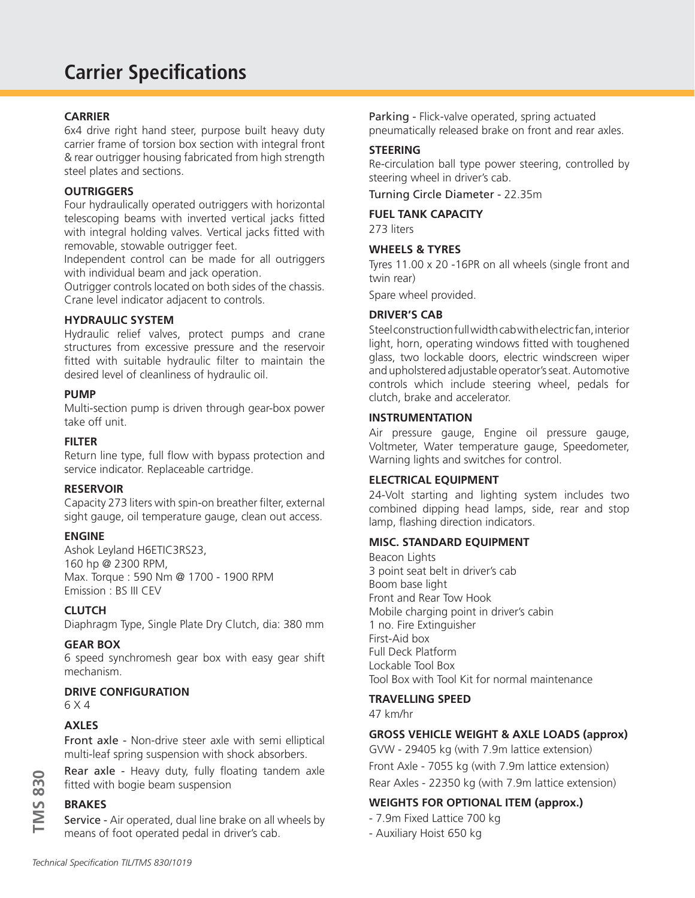# **Carrier Specifications**

# **CARRIER**

6x4 drive right hand steer, purpose built heavy duty carrier frame of torsion box section with integral front & rear outrigger housing fabricated from high strength steel plates and sections.

# **OUTRIGGERS**

Four hydraulically operated outriggers with horizontal telescoping beams with inverted vertical jacks fitted with integral holding valves. Vertical jacks fitted with removable, stowable outrigger feet.

Independent control can be made for all outriggers with individual beam and jack operation.

Outrigger controls located on both sides of the chassis. Crane level indicator adjacent to controls.

# **HYDRAULIC SYSTEM**

Hydraulic relief valves, protect pumps and crane structures from excessive pressure and the reservoir fitted with suitable hydraulic filter to maintain the desired level of cleanliness of hydraulic oil.

# **PUMP**

Multi-section pump is driven through gear-box power take off unit.

# **FILTER**

Return line type, full flow with bypass protection and service indicator. Replaceable cartridge.

# **RESERVOIR**

Capacity 273 liters with spin-on breather filter, external sight gauge, oil temperature gauge, clean out access.

# **ENGINE**

Ashok Leyland H6ETIC3RS23, 160 hp @ 2300 RPM, Max. Torque : 590 Nm @ 1700 - 1900 RPM Emission : BS III CEV

# **CLUTCH**

Diaphragm Type, Single Plate Dry Clutch, dia: 380 mm

# **GEAR BOX**

6 speed synchromesh gear box with easy gear shift mechanism.

# **DRIVE CONFIGURATION**

6 X 4

# **AXLES**

Front axle - Non-drive steer axle with semi elliptical multi-leaf spring suspension with shock absorbers.

Rear axle - Heavy duty, fully floating tandem axle fitted with bogie beam suspension

# **BRAKES**

Service - Air operated, dual line brake on all wheels by means of foot operated pedal in driver's cab.

Parking - Flick-valve operated, spring actuated pneumatically released brake on front and rear axles.

# **STEERING**

Re-circulation ball type power steering, controlled by steering wheel in driver's cab.

Turning Circle Diameter - 22.35m

# **FUEL TANK CAPACITY**

273 liters

# **WHEELS & TYRES**

Tyres 11.00 x 20 -16PR on all wheels (single front and twin rear)

Spare wheel provided.

# **DRIVER'S CAB**

Steel construction full width cab with electric fan, interior light, horn, operating windows fitted with toughened glass, two lockable doors, electric windscreen wiper and upholstered adjustable operator's seat. Automotive controls which include steering wheel, pedals for clutch, brake and accelerator.

# **INSTRUMENTATION**

Air pressure gauge, Engine oil pressure gauge, Voltmeter, Water temperature gauge, Speedometer, Warning lights and switches for control.

# **ELECTRICAL EQUIPMENT**

24-Volt starting and lighting system includes two combined dipping head lamps, side, rear and stop lamp, flashing direction indicators.

# **MISC. STANDARD EQUIPMENT**

Beacon Lights 3 point seat belt in driver's cab Boom base light Front and Rear Tow Hook Mobile charging point in driver's cabin 1 no. Fire Extinguisher First-Aid box Full Deck Platform Lockable Tool Box Tool Box with Tool Kit for normal maintenance

# **TRAVELLING SPEED**

47 km/hr

# **GROSS VEHICLE WEIGHT & AXLE LOADS (approx)**

GVW - 29405 kg (with 7.9m lattice extension) Front Axle - 7055 kg (with 7.9m lattice extension) Rear Axles - 22350 kg (with 7.9m lattice extension)

# **WEIGHTS FOR OPTIONAL ITEM (approx.)**

- 7.9m Fixed Lattice 700 kg
- Auxiliary Hoist 650 kg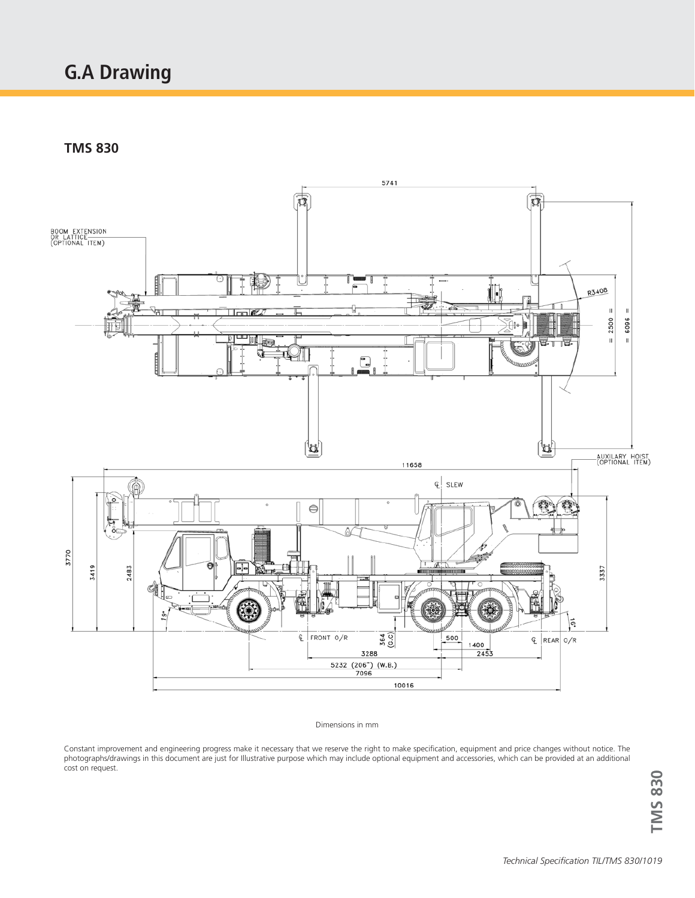# **G.A Drawing**

**TMS 830**



#### Dimensions in mm

Constant improvement and engineering progress make it necessary that we reserve the right to make specification, equipment and price changes without notice. The photographs/drawings in this document are just for Illustrative purpose which may include optional equipment and accessories, which can be provided at an additional procegraphic are